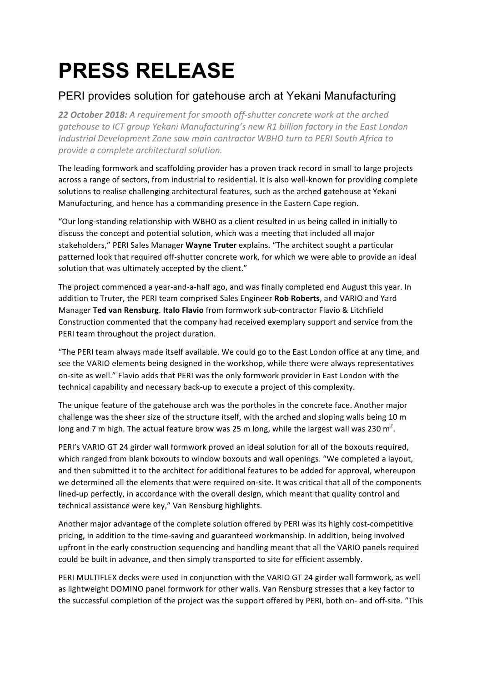# **PRESS RELEASE**

## PERI provides solution for gatehouse arch at Yekani Manufacturing

22 **October 2018:** A requirement for smooth off-shutter concrete work at the arched *gatehouse to ICT group Yekani Manufacturing's new R1 billion factory in the East London Industrial Development Zone saw main contractor WBHO turn to PERI South Africa to provide a complete architectural solution.*

The leading formwork and scaffolding provider has a proven track record in small to large projects across a range of sectors, from industrial to residential. It is also well-known for providing complete solutions to realise challenging architectural features, such as the arched gatehouse at Yekani Manufacturing, and hence has a commanding presence in the Eastern Cape region.

"Our long-standing relationship with WBHO as a client resulted in us being called in initially to discuss the concept and potential solution, which was a meeting that included all major stakeholders," PERI Sales Manager **Wayne Truter** explains. "The architect sought a particular patterned look that required off-shutter concrete work, for which we were able to provide an ideal solution that was ultimately accepted by the client."

The project commenced a year-and-a-half ago, and was finally completed end August this year. In addition to Truter, the PERI team comprised Sales Engineer **Rob Roberts**, and VARIO and Yard Manager Ted van Rensburg. Italo Flavio from formwork sub-contractor Flavio & Litchfield Construction commented that the company had received exemplary support and service from the PERI team throughout the project duration.

"The PERI team always made itself available. We could go to the East London office at any time, and see the VARIO elements being designed in the workshop, while there were always representatives on-site as well." Flavio adds that PERI was the only formwork provider in East London with the technical capability and necessary back-up to execute a project of this complexity.

The unique feature of the gatehouse arch was the portholes in the concrete face. Another major challenge was the sheer size of the structure itself, with the arched and sloping walls being 10 m long and 7 m high. The actual feature brow was 25 m long, while the largest wall was 230 m<sup>2</sup>.

PERI's VARIO GT 24 girder wall formwork proved an ideal solution for all of the boxouts required, which ranged from blank boxouts to window boxouts and wall openings. "We completed a layout, and then submitted it to the architect for additional features to be added for approval, whereupon we determined all the elements that were required on-site. It was critical that all of the components lined-up perfectly, in accordance with the overall design, which meant that quality control and technical assistance were key," Van Rensburg highlights.

Another major advantage of the complete solution offered by PERI was its highly cost-competitive pricing, in addition to the time-saving and guaranteed workmanship. In addition, being involved upfront in the early construction sequencing and handling meant that all the VARIO panels required could be built in advance, and then simply transported to site for efficient assembly.

PERI MULTIFLEX decks were used in conjunction with the VARIO GT 24 girder wall formwork, as well as lightweight DOMINO panel formwork for other walls. Van Rensburg stresses that a key factor to the successful completion of the project was the support offered by PERI, both on- and off-site. "This